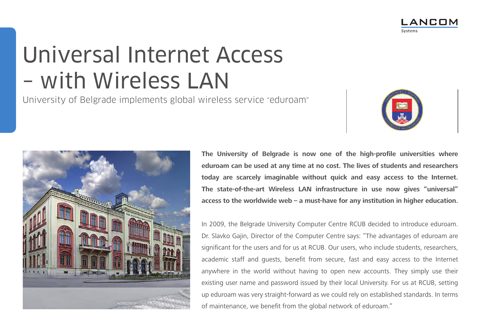

# Universal Internet Access – with Wireless LAN

University of Belgrade implements global wireless service "eduroam"



**ANCOM** 



**The University of Belgrade is now one of the high-profile universities where eduroam can be used at any time at no cost. The lives of students and researchers today are scarcely imaginable without quick and easy access to the Internet. The state-of-the-art Wireless LAN infrastructure in use now gives "universal" access to the worldwide web – a must-have for any institution in higher education.**

In 2009, the Belgrade University Computer Centre RCUB decided to introduce eduroam. Dr. Slavko Gajin, Director of the Computer Centre says: "The advantages of eduroam are significant for the users and for us at RCUB. Our users, who include students, researchers, academic staff and guests, benefit from secure, fast and easy access to the Internet anywhere in the world without having to open new accounts. They simply use their existing user name and password issued by their local University. For us at RCUB, setting up eduroam was very straight-forward as we could rely on established standards. In terms of maintenance, we benefit from the global network of eduroam."